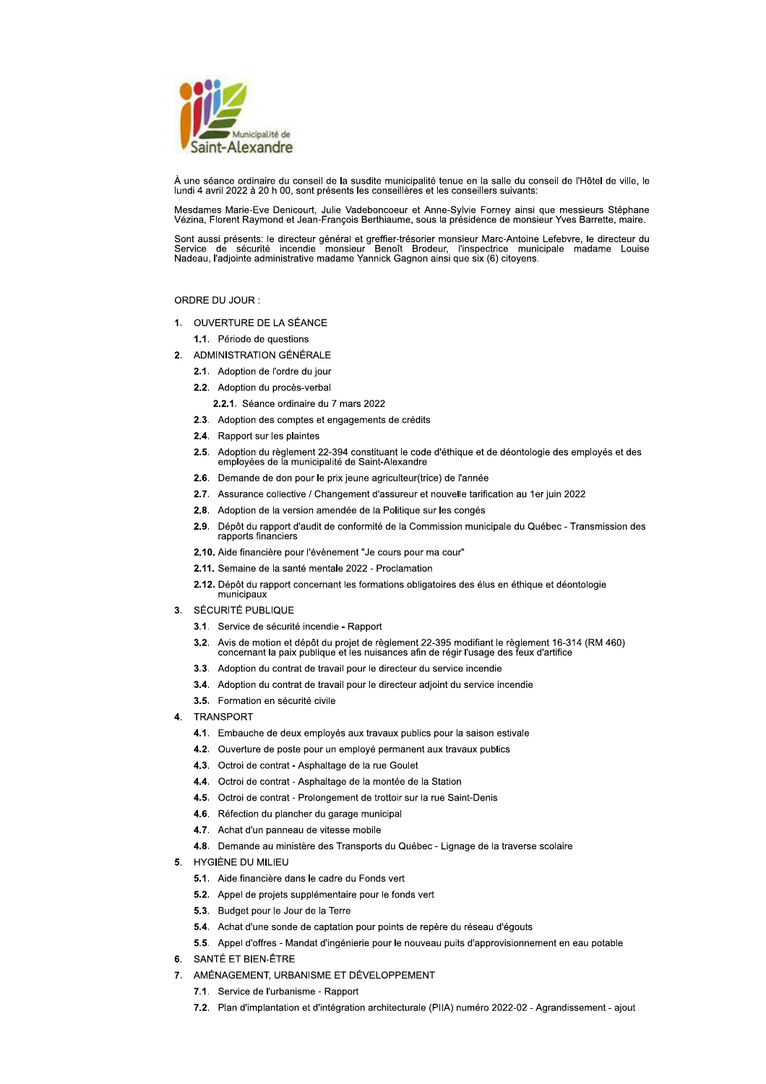

À une séance ordinaire du conseil de la susdite municipalité tenue en la salle du conseil de l'Hôtel de ville, le lundi 4 avril 2022 à 20 h 00, sont présents les conseillères et les conseillers suivants:

Mesdames Marie-Eve Denicourt, Julie Vadeboncoeur et Anne-Sylvie Forney ainsi que messieurs Stéphane<br>Vézina, Florent Raymond et Jean-François Berthiaume, sous la présidence de monsieur Yves Barrette, maire.

Sont aussi présents: le directeur général et greffier-trésorier monsieur Marc-Antoine Lefebvre, le directeur du<br>Service de sécurité incendie monsieur Benoît Brodeur, l'inspectrice municipale madame Louise<br>Nadeau, l'adjoint

# ORDRE DU JOUR :

1. OUVERTURE DE LA SÉANCE

1.1. Période de questions

- 2. ADMINISTRATION GÉNÉRALE
	- 2.1. Adoption de l'ordre du jour
	- 2.2. Adoption du procès-verbal
		- 2.2.1. Séance ordinaire du 7 mars 2022
	- 2.3. Adoption des comptes et engagements de crédits
	- 2.4. Rapport sur les plaintes
	- 2.5. Adoption du règlement 22-394 constituant le code d'éthique et de déontologie des employés et des employées de la municipalité de Saint-Alexandre
	- 2.6. Demande de don pour le prix jeune agriculteur(trice) de l'année
	- 2.7. Assurance collective / Changement d'assureur et nouvelle tarification au 1er juin 2022
	- 2.8. Adoption de la version amendée de la Politique sur les congés
	- 2.9. Dépôt du rapport d'audit de conformité de la Commission municipale du Québec Transmission des rapports financiers
	- 2.10. Aide financière pour l'évènement "Je cours pour ma cour"
	- 2.11. Semaine de la santé mentale 2022 Proclamation
	- 2.12. Dépôt du rapport concernant les formations obligatoires des élus en éthique et déontologie municipaux
- 3. SÉCURITÉ PUBLIQUE
	- 3.1. Service de sécurité incendie Rapport
	- 3.2. Avis de motion et dépôt du projet de règlement 22-395 modifiant le règlement 16-314 (RM 460) concernant la paix publique et les nuisances afin de régir l'usage des feux d'artifice
	- 3.3. Adoption du contrat de travail pour le directeur du service incendie
	- 3.4. Adoption du contrat de travail pour le directeur adjoint du service incendie
	- 3.5. Formation en sécurité civile
- 4 TRANSPORT
	- 4.1. Embauche de deux employés aux travaux publics pour la saison estivale
	- 4.2. Ouverture de poste pour un employé permanent aux travaux publics
	- 4.3. Octroi de contrat Asphaltage de la rue Goulet
	- 4.4. Octroi de contrat Asphaltage de la montée de la Station
	- 4.5. Octroi de contrat Prolongement de trottoir sur la rue Saint-Denis
	- 4.6. Réfection du plancher du garage municipal
	- 4.7. Achat d'un panneau de vitesse mobile
	- 4.8. Demande au ministère des Transports du Québec Lignage de la traverse scolaire
- 5. HYGIÈNE DU MILIEU
	- 5.1. Aide financière dans le cadre du Fonds vert
	- 5.2. Appel de projets supplémentaire pour le fonds vert
	- 5.3. Budget pour le Jour de la Terre
	- 5.4. Achat d'une sonde de captation pour points de repère du réseau d'égouts
	- 5.5. Appel d'offres Mandat d'ingénierie pour le nouveau puits d'approvisionnement en eau potable
- 6. SANTÉ ET BIEN-ÊTRE
- 7. AMÉNAGEMENT, URBANISME ET DÉVELOPPEMENT
	- 7.1. Service de l'urbanisme Rapport
	- 7.2. Plan d'implantation et d'intégration architecturale (PIIA) numéro 2022-02 Agrandissement ajout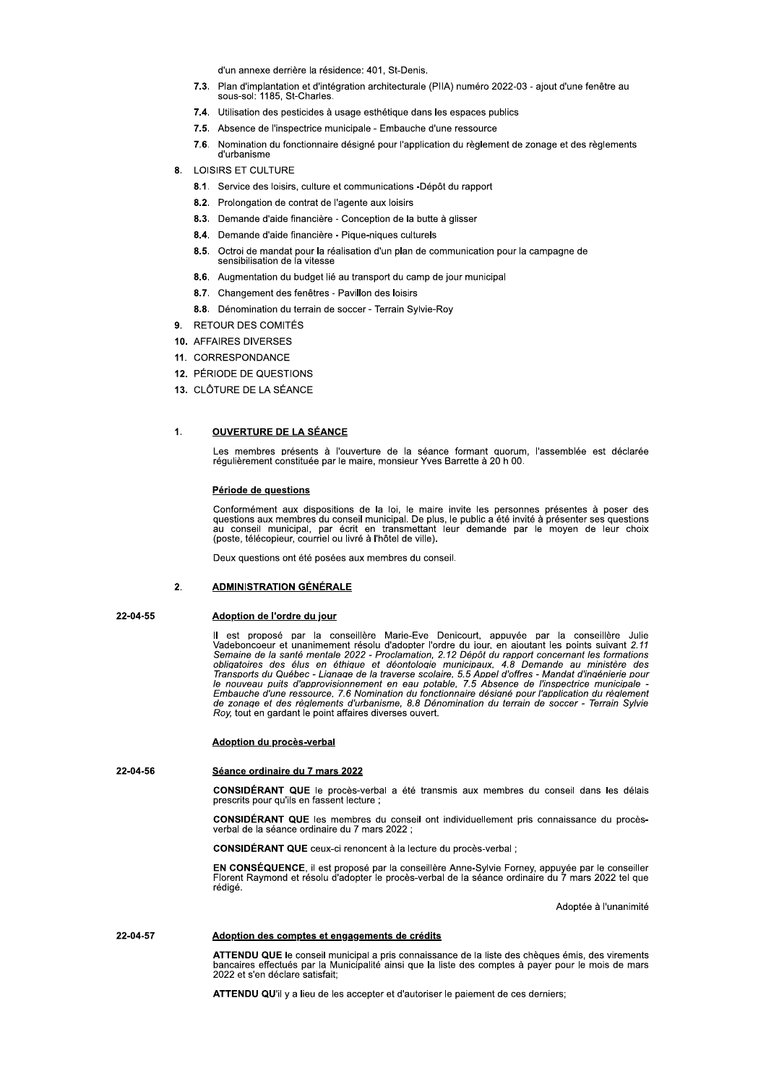d'un annexe derrière la résidence: 401 St-Denis

- 7.3. Plan d'implantation et d'intégration architecturale (PIIA) numéro 2022-03 ajout d'une fenêtre au sous-sol: 1185. St-Charles.
- 7.4. Utilisation des pesticides à usage esthétique dans les espaces publics
- 7.5. Absence de l'inspectrice municipale Embauche d'une ressource
- $7.6.$ Nomination du fonctionnaire désigné pour l'application du règlement de zonage et des règlements d'urbanisme
- 8. LOISIRS ET CULTURE
	- 8.1. Service des loisirs, culture et communications -Dépôt du rapport
	- 8.2. Prolongation de contrat de l'agente aux loisirs
	- 8.3. Demande d'aide financière Conception de la butte à glisser
	- 8.4. Demande d'aide financière Pique-niques culturels
	- 8.5. Octroi de mandat pour la réalisation d'un plan de communication pour la campagne de sensibilisation de la vitesse
	- 8.6. Augmentation du budget lié au transport du camp de jour municipal
	- 8.7. Changement des fenêtres Pavillon des loisirs
	- 8.8. Dénomination du terrain de soccer Terrain Sylvie-Roy
- 9. RETOUR DES COMITÉS
- 10. AFFAIRES DIVERSES
- 11. CORRESPONDANCE
- 12. PÉRIODE DE QUESTIONS
- 13. CLÔTURE DE LA SÉANCE

### $\mathbf{1}$ **OUVERTURE DE LA SÉANCE**

Les membres présents à l'ouverture de la séance formant quorum, l'assemblée est déclarée régulièrement constituée par le maire, monsieur Yves Barrette à 20 h 00.

# Période de questions

Conformément aux dispositions de la loi, le maire invite les personnes présentes à poser des questions aux membres du conseil municipal. De plus, le public a été invité à présenter ses questions<br>au conseil municipal, par écrit en transmettant leur demande par le moyen de leur choix<br>(poste, télécopieur, courriel ou

Deux questions ont été posées aux membres du conseil.

# $2.$ **ADMINISTRATION GÉNÉRALE**

# 22-04-55

Adoption de l'ordre du jour

Il est proposé par la conseillère Marie-Eve Denicourt, appuyée par la conseillère Julie Vadeboncoeur et unanimement résolu d'adopter l'ordre du jour, en ajoutant les points suivant 2.11 Semaine de la santé mentale 2022 - P Embauche d'une ressource, 7.6 Nomination du fonctionnaire désigné pour l'application du règlement de zonage et des règlements d'urbanisme, 8.8 Dénomination du terrain de soccer - Terrain Sylvie Roy, tout en gardant le point affaires diverses ouvert.

# Adoption du procès-verbal

22-04-56

# Séance ordinaire du 7 mars 2022

CONSIDÉRANT QUE le procès-verbal a été transmis aux membres du conseil dans les délais prescrits pour qu'ils en fassent lecture :

CONSIDÉRANT QUE les membres du conseil ont individuellement pris connaissance du procèsverbal de la séance ordinaire du 7 mars 2022 ;

CONSIDÉRANT QUE ceux-ci renoncent à la lecture du procès-verbal ;

EN CONSÉQUENCE, il est proposé par la conseillère Anne-Sylvie Forney, appuyée par le conseiller Florent Raymond et résolu d'adopter le procès-verbal de la séance ordinaire du 7 mars 2022 tel que rédigé.

Adoptée à l'unanimité

# 22-04-57 Adoption des comptes et engagements de crédits

ATTENDU QUE le conseil municipal a pris connaissance de la liste des chèques émis, des virements<br>bancaires effectués par la Municipalité ainsi que la liste des comptes à payer pour le mois de mars 2022 et s'en déclare satisfait;

ATTENDU QU'il y a lieu de les accepter et d'autoriser le paiement de ces derniers;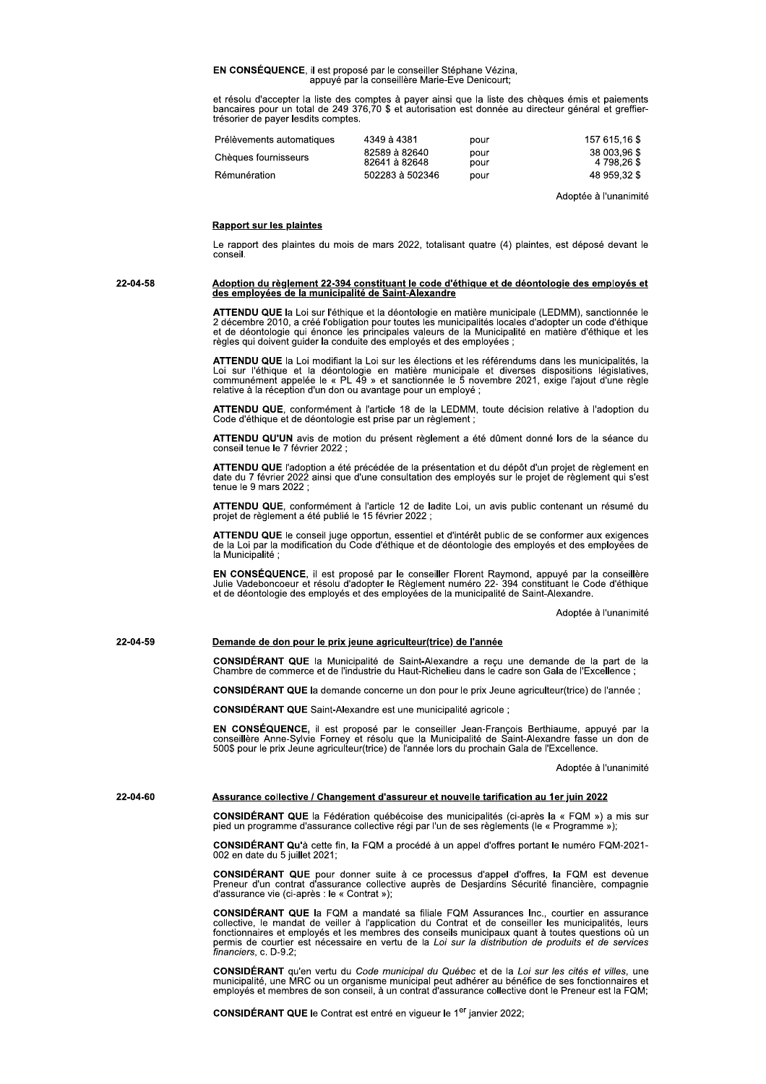EN CONSÉQUENCE, il est proposé par le conseiller Stéphane Vézina, appuyé par la conseillère Marie-Eve Denicourt;

et résolu d'accepter la liste des comptes à payer ainsi que la liste des chèques émis et paiements<br>bancaires pour un total de 249 376,70 \$ et autorisation est donnée au directeur général et greffiertrésorier de payer lesdits comptes.

| Prélèvements automatiques | 4349 à 4381                    | pour         | 157 615 16 \$               |
|---------------------------|--------------------------------|--------------|-----------------------------|
| Chèques fournisseurs      | 82589 à 82640<br>82641 à 82648 | pour<br>pour | 38 003.96 \$<br>4 798.26 \$ |
| Rémunération              | 502283 à 502346                | pour         | 48 959.32 \$                |

Adoptée à l'unanimité

# **Rapport sur les plaintes**

Le rapport des plaintes du mois de mars 2022, totalisant quatre (4) plaintes, est déposé devant le conseil.

Adoption du règlement 22-394 constituant le code d'éthique et de déontologie des employés et<br>des employées de la municipalité de Saint-Alexandre 22-04-58

> ATTENDU QUE la Loi sur l'éthique et la déontologie en matière municipale (LEDMM), sanctionnée le<br>2 décembre 2010, a créé l'obligation pour toutes les municipalités locales d'adopter un code d'éthique et de déontologie qui énonce les principales valeurs de la Municipalité en matière d'éthique et les règles qui doivent guider la conduite des employés et des employées ;

> ATTENDU QUE la Loi modifiant la Loi sur les élections et les référendums dans les municipalités, la Loi sur l'éthique et la déontologie en matière municipale et diverses dispositions législatives, communément appelée le « PL 49 » et sanctionnée le 5 novembre 2021, exige l'ajout d'une règle relative à la réception d'un don ou avantage pour un employé;

> ATTENDU QUE, conformément à l'article 18 de la LEDMM, toute décision relative à l'adoption du Code d'éthique et de déontologie est prise par un règlement ;

> ATTENDU QU'UN avis de motion du présent règlement a été dûment donné lors de la séance du conseil tenue le 7 février 2022

> ATTENDU QUE l'adoption a été précédée de la présentation et du dépôt d'un projet de règlement en date du 7 février 2022 ainsi que d'une consultation des employés sur le projet de règlement qui s'est tenue le 9 mars 2022 ;

ATTENDU QUE, conformément à l'article 12 de ladite Loi, un avis public contenant un résumé du projet de règlement a été publié le 15 février 2022 ;

ATTENDU QUE le conseil juge opportun, essentiel et d'intérêt public de se conformer aux exigences<br>de la Loi par la modification du Code d'éthique et de déontologie des employés et des employées de la Municipalité :

EN CONSÉQUENCE, il est proposé par le conseiller Florent Raymond, appuyé par la conseillère La Code déponcoeur et résolu d'adopter le Règlement numéro 22-394 constituant le Code d'éthique<br>et de déontologie des employés et des employées de la municipalité de Saint-Alexandre.

Adoptée à l'unanimité

22-04-59

CONSIDÉRANT QUE la Municipalité de Saint-Alexandre a reçu une demande de la part de la Chambre de commerce et de l'industrie du Haut-Richelieu dans le cadre son Gala de l'Excellence ;

CONSIDÉRANT QUE la demande concerne un don pour le prix Jeune agriculteur(trice) de l'année ;

CONSIDÉRANT QUE Saint-Alexandre est une municipalité agricole ;

Demande de don pour le prix jeune agriculteur(trice) de l'année

EN CONSÉQUENCE, il est proposé par le conseiller Jean-François Berthiaume, appuyé par la conseillère Anne-Sylvie Forney et résolu que la Municipalité de Saint-Alexandre fasse un don de 500\$ pour le prix Jeune agriculteur(t

Adoptée à l'unanimité

22-04-60 Assurance collective / Changement d'assureur et nouvelle tarification au 1er juin 2022

> CONSIDÉRANT QUE la Fédération québécoise des municipalités (ci-après la « FQM ») a mis sur pied un programme d'assurance collective régi par l'un de ses règlements (le « Programme »);

> CONSIDÉRANT Qu'à cette fin, la FQM a procédé à un appel d'offres portant le numéro FQM-2021-002 en date du 5 juillet 2021:

> CONSIDÉRANT QUE pour donner suite à ce processus d'appel d'offres, la FQM est devenue<br>Preneur d'un contrat d'assurance collective auprès de Desjardins Sécurité financière, compagnie d'assurance vie (ci-après : le « Contrat »);

> CONSIDÉRANT QUE la FQM a mandaté sa filiale FQM Assurances Inc., courtier en assurance collective, le mandat de veiller à l'application du Contrat et de conseiller les municipalités, leurs fonctionnaires et employés et les construction of original of original of the internation of subsetils municipally quant à toutes questions où un<br>permis de courtier est nécessaire en vertu de la Loi sur la distribution de produits et de services<br>financiers

> CONSIDÉRANT qu'en vertu du Code municipal du Québec et de la Loi sur les cités et villes, une municipalité, une MRC ou un organisme municipal peut adhérer au bénéfice de ses fonctionnaires et employés et membres de son con

**CONSIDÉRANT QUE le Contrat est entré en vigueur le 1<sup>er</sup> janvier 2022**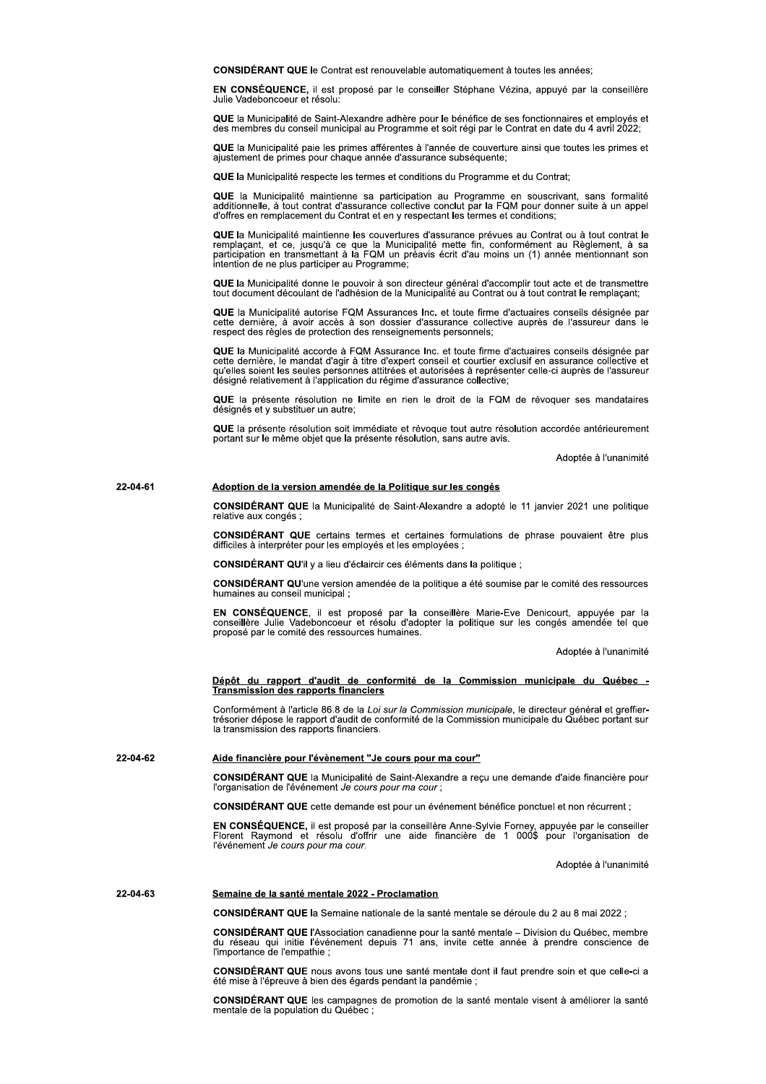CONSIDÉRANT QUE le Contrat est renouvelable automatiquement à toutes les années

EN CONSÉQUENCE, il est proposé par le conseiller Stéphane Vézina, appuyé par la conseillère ululie Vadeboncoeur et résolut

QUE la Municipalité de Saint-Alexandre adhère pour le bénéfice de ses fonctionnaires et employés et des membres du conseil municipal au Programme et soit régi par le Contrat en date du 4 avril 2022;

QUE la Municipalité paie les primes afférentes à l'année de couverture ainsi que toutes les primes et ajustement de primes pour chaque année d'assurance subséquente:

QUE la Municipalité respecte les termes et conditions du Programme et du Contrat;

QUE la Municipalité maintienne sa participation au Programme en souscrivant, sans formalité<br>additionnelle, à tout contrat d'assurance collective conclut par la FQM pour donner suite à un appel d'offres en remplacement du Contrat et en y respectant les termes et conditions;

QUE la Municipalité maintienne les couvertures d'assurance prévues au Contrat ou à tout contrat le **Sex la manipulación en la manipulación de que la Municipalité mette fin, conformément au Règlement, à sa<br>participation en transmettant à la FQM un préavis écrit d'au moins un (1) année mentionnant son<br>intention de ne plus** 

QUE la Municipalité donne le pouvoir à son directeur général d'accomplir tout acte et de transmettre<br>tout document découlant de l'adhésion de la Municipalité au Contrat ou à tout contrat le remplaçant;

QUE la Municipalité autorise FQM Assurances Inc. et toute firme d'actuaires conseils désignée par cette dernière, à avoir accès à son dossier d'assurance collective auprès de l'assureur dans le respect des règles de protection des renseignements personnels;

QUE la Municipalité accorde à FQM Assurance Inc. et toute firme d'actuaires conseils désignée par cette dernière, le mandat d'agir à titre d'expert conseil et courtier exclusif en assurance collective et qu'elles soient les seules personnes attitrées et autorisées à représenter celle-ci auprès de l'assureur désigné relativement à l'application du régime d'assurance collective:

QUE la présente résolution ne limite en rien le droit de la FQM de révoquer ses mandataires désignés et y substituer un autre:

QUE la présente résolution soit immédiate et révoque tout autre résolution accordée antérieurement portant sur le même objet que la présente résolution, sans autre avis.

Adoptée à l'unanimité

# 22-04-61 Adoption de la version amendée de la Politique sur les congés

CONSIDÉRANT QUE la Municipalité de Saint-Alexandre a adopté le 11 janvier 2021 une politique relative aux congés ;

CONSIDÉRANT QUE certains termes et certaines formulations de phrase pouvaient être plus difficiles à interpréter pour les employés et les employées ;

CONSIDÉRANT QU'il y a lieu d'éclaircir ces éléments dans la politique ;

CONSIDÉRANT QU'une version amendée de la politique a été soumise par le comité des ressources humaines au conseil municipal:

EN CONSÉQUENCE, il est proposé par la conseillère Marie-Eve Denicourt, appuyée par la<br>conseillère Julie Vadeboncoeur et résolu d'adopter la politique sur les congés amendée tel que proposé par le comité des ressources humaines.

Adoptée à l'unanimité

# Dépôt du rapport d'audit de conformité de la Commission municipale du Québec -<br>Transmission des rapports financiers

Conformément à l'article 86.8 de la Loi sur la Commission municipale, le directeur général et greffier-<br>trésorier dépose le rapport d'audit de conformité de la Commission municipale du Québec portant sur la transmission des rapports financiers.

22-04-62 Aide financière pour l'évènement "Je cours pour ma cour"

> CONSIDÉRANT QUE la Municipalité de Saint-Alexandre a reçu une demande d'aide financière pour l'organisation de l'événement Je cours pour ma cour ;

CONSIDÉRANT QUE cette demande est pour un événement bénéfice ponctuel et non récurrent ;

EN CONSÉQUENCE, il est proposé par la conseillère Anne-Sylvie Forney, appuyée par le conseiller<br>Florent Raymond et résolu d'offrir une aide financière de 1 000\$ pour l'organisation de l'événement Je cours pour ma cour.

Adoptée à l'unanimité

# 22-04-63 Semaine de la santé mentale 2022 - Proclamation

CONSIDÉRANT QUE la Semaine nationale de la santé mentale se déroule du 2 au 8 mai 2022 ;

CONSIDÉRANT QUE l'Association canadienne pour la santé mentale - Division du Québec, membre du réseau qui initie l'événement depuis 71 ans, invite cette année à prendre conscience de<br>l'importance de l'empathie ;

CONSIDÉRANT QUE nous avons tous une santé mentale dont il faut prendre soin et que celle-ci a été mise à l'épreuve à bien des égards pendant la pandémie :

CONSIDÉRANT QUE les campagnes de promotion de la santé mentale visent à améliorer la santé mentale de la population du Québec :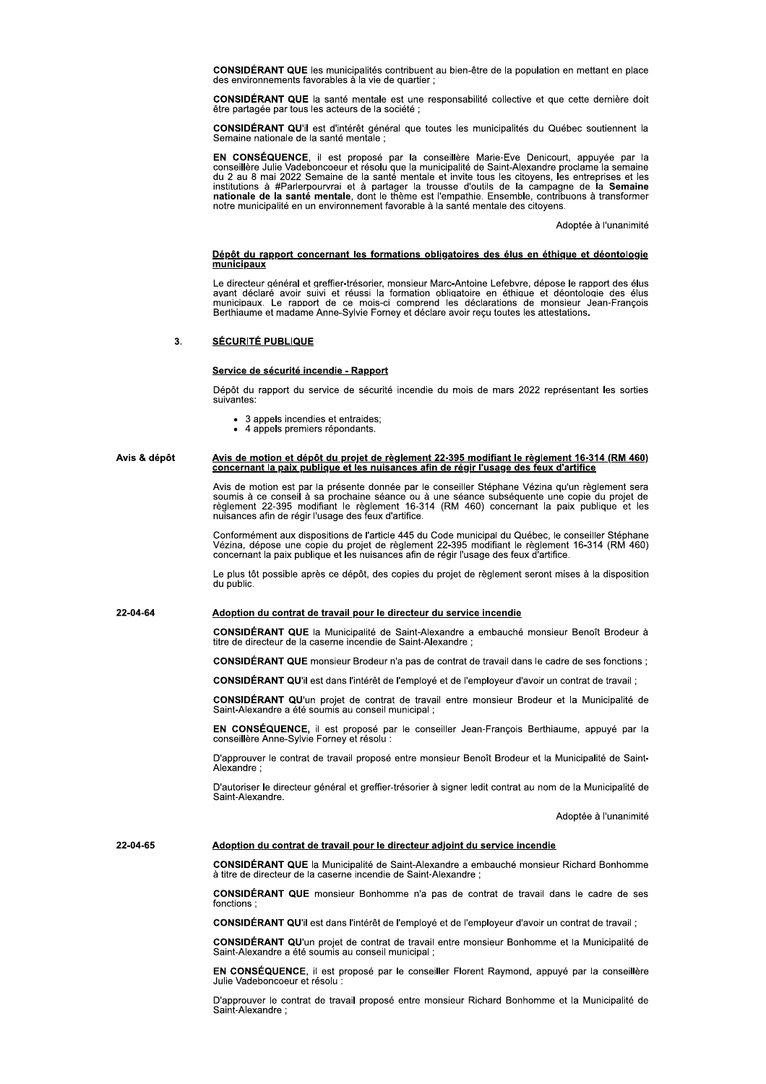CONSIDÉRANT QUE les municipalités contribuent au bien-être de la population en mettant en place des environnements favorables à la vie de quartier;

**CONSIDÉRANT QUE** la santé mentale est une responsabilité collective et que cette dernière doit être partagée par tous les acteurs de la société :

CONSIDÉRANT QU'il est d'intérêt général que toutes les municipalités du Québec soutiennent la<br>Semaine nationale de la santé mentale :

EN CONSÉQUENCE, il est proposé par la conseillère Marie-Eve Denicourt, appuyée par la conseillère Julie Vadeboncoeur et résolu que la municipalité de Saint-Alexandre proclame la semaine du 2 au 8 mai 2022 Semaine de la san institutions à #Parlerpourvrai et à partager la trousse d'outils de la campagne de la Semaine<br>nationale de la santé mentale, dont le thème est l'empathie. Ensemble, contribuons à transformer notre municipalité en un environnement favorable à la santé mentale des citoyens.

Adoptée à l'unanimité

# Dépôt du rapport concernant les formations obligatoires des élus en éthique et déontologie municipaux

Le directeur général et greffier-trésorier, monsieur Marc-Antoine Lefebvre, dépose le rapport des élus<br>avant déclaré avoir suivi et réussi la formation obligatoire en éthique et déontologie des élus extent des capacitats de la montale de la comprend les déclarations de monsieur Jean-François<br>Berthiaume et madame Anne-Sylvie Forney et déclare avoir reçu toutes les attestations.

### $\mathbf{R}$ **SÉCURITÉ PUBLIQUE**

# Service de sécurité incendie - Rapport

Dépôt du rapport du service de sécurité incendie du mois de mars 2022 représentant les sorties suivantes:

- 3 appels incendies et entraides;
- 4 appels premiers répondants.

# Avis & dépôt Avis de motion et dépôt du projet de règlement 22-395 modifiant le règlement 16-314 (RM 460) concernant la paix publique et les nuisances afin de régir l'usage des feux d'artifice

Avis de motion est par la présente donnée par le conseiller Stéphane Vézina qu'un règlement sera soumis à ce conseil à sa prochaine séance ou à une séance subséquente une copie du projet de règlement 22-395 modifiant le règlement 16-314 (RM 460) concernant la paix publique et les nuisances afin de régir l'usage des fe

Conformément aux dispositions de l'article 445 du Code municipal du Québec, le conseiller Stéphane<br>Vézina, dépose une copie du projet de règlement 22-395 modifiant le règlement 16-314 (RM 460) concernant la paix publique et les nuisances afin de régir l'usage des feux d'artifice.

Le plus tôt possible après ce dépôt, des copies du projet de règlement seront mises à la disposition du public.

# 22-04-64 Adoption du contrat de travail pour le directeur du service incendie

CONSIDÉRANT QUE la Municipalité de Saint-Alexandre a embauché monsieur Benoît Brodeur à titre de directeur de la caserne incendie de Saint-Alexandre;

CONSIDÉRANT QUE monsieur Brodeur n'a pas de contrat de travail dans le cadre de ses fonctions ;

CONSIDÉRANT QU'il est dans l'intérêt de l'employé et de l'employeur d'avoir un contrat de travail ;

CONSIDÉRANT QU'un projet de contrat de travail entre monsieur Brodeur et la Municipalité de Saint-Alexandre a été soumis au conseil municipal :

EN CONSÉQUENCE, il est proposé par le conseiller Jean-François Berthiaume, appuyé par la conseillère Anne-Sylvie Forney et résolu :

D'approuver le contrat de travail proposé entre monsieur Benoît Brodeur et la Municipalité de Saint-Alexandre

D'autoriser le directeur général et greffier-trésorier à signer ledit contrat au nom de la Municipalité de Saint-Alexandre.

Adoptée à l'unanimité

22-04-65

CONSIDÉRANT QUE la Municipalité de Saint-Alexandre a embauché monsieur Richard Bonhomme à titre de directeur de la caserne incendie de Saint-Alexandre;

Adoption du contrat de travail pour le directeur adjoint du service incendie

CONSIDÉRANT QUE monsieur Bonhomme n'a pas de contrat de travail dans le cadre de ses fonctions;

CONSIDÉRANT QU'il est dans l'intérêt de l'employé et de l'employeur d'avoir un contrat de travail ;

CONSIDÉRANT QU'un projet de contrat de travail entre monsieur Bonhomme et la Municipalité de Saint-Alexandre a été soumis au conseil municipal :

EN CONSÉQUENCE, il est proposé par le conseiller Florent Raymond, appuyé par la conseillère Julie Vadeboncoeur et résolu

D'approuver le contrat de travail proposé entre monsieur Richard Bonhomme et la Municipalité de Saint-Alexandre: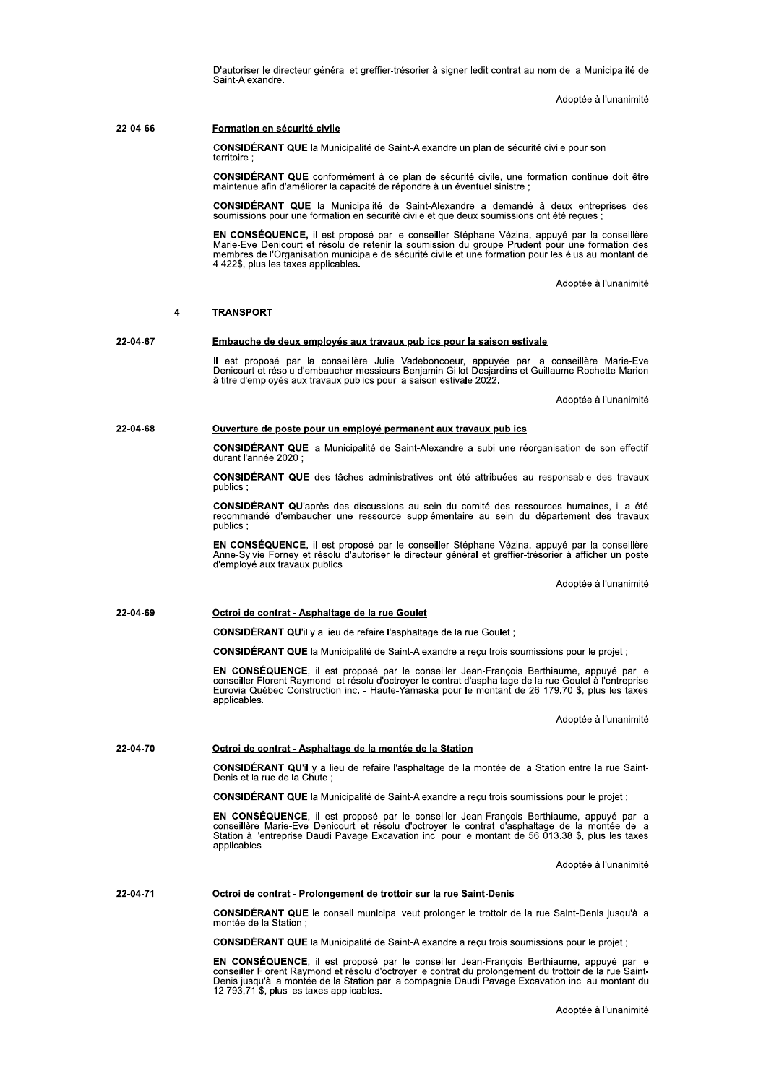D'autoriser le directeur général et greffier-trésorier à signer ledit contrat au nom de la Municipalité de Saint-Alexandre.

Adoptée à l'unanimité

# $22 - 04 - 66$ Formation en sécurité civile

CONSIDÉRANT QUE la Municipalité de Saint-Alexandre un plan de sécurité civile pour son territoire

CONSIDÉRANT QUE conformément à ce plan de sécurité civile, une formation continue doit être maintenue afin d'améliorer la capacité de répondre à un éventuel sinistre ;

CONSIDÉRANT QUE la Municipalité de Saint-Alexandre a demandé à deux entreprises des soumissions pour une formation en sécurité civile et que deux soumissions ont été reçues

EN CONSÉQUENCE, il est proposé par le conseiller Stéphane Vézina, appuyé par la conseillère Exercise Denicourt et résolu de retenir la soumission du groupe Prudent pour une formation des<br>membres de l'Organisation municipale de sécurité civile et une formation pour les élus au montant de<br>membres de l'Organisation 4 422\$, plus les taxes applicables.

Adoptée à l'unanimité

### $\mathbf{A}$ **TRANSPORT**

### 22-04-67 Embauche de deux employés aux travaux publics pour la saison estivale

Il est proposé par la conseillère Julie Vadeboncoeur, appuyée par la conseillère Marie-Eve<br>Denicourt et résolu d'embaucher messieurs Benjamin Gillot-Desjardins et Guillaume Rochette-Marion<br>à titre d'employés aux travaux pu

Adoptée à l'unanimité

### 22-04-68 Ouverture de poste pour un employé permanent aux travaux publics

CONSIDÉRANT QUE la Municipalité de Saint-Alexandre a subi une réorganisation de son effectif durant l'année 2020 ;

CONSIDÉRANT QUE des tâches administratives ont été attribuées au responsable des travaux publics;

CONSIDÉRANT QU'après des discussions au sein du comité des ressources humaines, il a été recommandé d'embaucher une ressource supplémentaire au sein du département des travaux publics:

EN CONSÉQUENCE, il est proposé par le conseiller Stéphane Vézina, appuyé par la conseillère Anne-Sylvie Forney et résolu d'autoriser le directeur général et greffier-trésorier à afficher un poste d'employé aux travaux publics.

Adoptée à l'unanimité

# 22-04-69 Octroi de contrat - Asphaltage de la rue Goulet

CONSIDÉRANT QU'il y a lieu de refaire l'asphaltage de la rue Goulet ;

CONSIDÉRANT QUE la Municipalité de Saint-Alexandre a reçu trois soumissions pour le projet ;

EN CONSÉQUENCE, il est proposé par le conseiller Jean-François Berthiaume, appuyé par le conseiller Florent Raymond et résolu d'octroyer le contrat d'asphaltage de la rue Goulet à l'entreprise<br>Eurovia Québec Construction i applicables.

Adoptée à l'unanimité

22-04-70 Octroi de contrat - Asphaltage de la montée de la Station

CONSIDÉRANT QU'il y a lieu de refaire l'asphaltage de la montée de la Station entre la rue Saint-<br>Denis et la rue de la Chute ;

CONSIDÉRANT QUE la Municipalité de Saint-Alexandre a reçu trois soumissions pour le projet ;

EN CONSÉQUENCE, il est proposé par le conseiller Jean-François Berthiaume, appuyé par la conseillere Marie-Eve Denicourt et résolu d'octroyer le contrat d'asphaltage de la montée de la<br>Station à l'entreprise Daudi Pavage Excavation inc. pour le montant de 56 013.38 \$, plus les taxes applicables.

Adoptée à l'unanimité

# 22-04-71 Octroi de contrat - Prolongement de trottoir sur la rue Saint-Denis

CONSIDÉRANT QUE le conseil municipal veut prolonger le trottoir de la rue Saint-Denis jusqu'à la montée de la Station

CONSIDÉRANT QUE la Municipalité de Saint-Alexandre a reçu trois soumissions pour le projet ;

EN CONSÉQUENCE, il est proposé par le conseiller Jean-François Berthiaume, appuyé par le Conseiller Florent Raymond et risplace par le conseiller Jean-Friançois benunaume, appuyé par le conseiller Florent Raymond et résolu d'octroyer le contrat du prolongement du trottoir de la rue Saint-<br>Denis jusqu'à la mont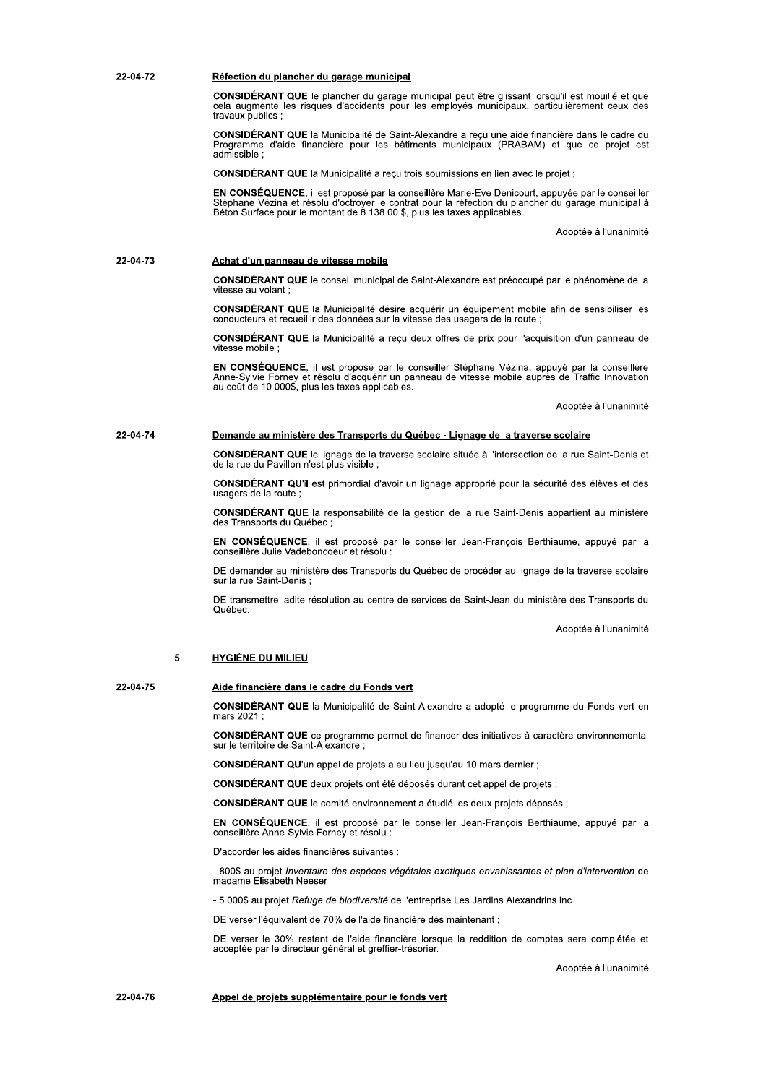### 22-04-72 Réfection du plancher du garage municipal

CONSIDÉRANT QUE le plancher du garage municipal peut être glissant lorsqu'il est mouillé et que cela augmente les risques d'accidents pour les employés municipaux, particulièrement ceux des travaux publics :

CONSIDÉRANT QUE la Municipalité de Saint-Alexandre a reçu une aide financière dans le cadre du Programme d'aide financière pour les bâtiments municipaux (PRABAM) et que ce projet est admissible :

CONSIDÉRANT QUE la Municipalité a reçu trois soumissions en lien avec le projet ;

EN CONSÉQUENCE, il est proposé par la conseillère Marie-Eve Denicourt, appuyée par le conseiller<br>Stéphane Vézina et résolu d'octroyer le contrat pour la réfection du plancher du garage municipal à<br>Béton Surface pour le mon

Adoptée à l'unanimité

# 22-04-73 Achat d'un panneau de vitesse mobile

CONSIDÉRANT QUE le conseil municipal de Saint-Alexandre est préoccupé par le phénomène de la vitesse au volant :

CONSIDÉRANT QUE la Municipalité désire acquérir un équipement mobile afin de sensibiliser les conducteurs et recueillir des données sur la vitesse des usagers de la route ;

CONSIDÉRANT QUE la Municipalité a reçu deux offres de prix pour l'acquisition d'un panneau de vitesse mobile

EN CONSÉQUENCE, il est proposé par le conseiller Stéphane Vézina, appuyé par la conseillère Anne-Sylvie Forney et résolu d'acquérir un panneau de vitesse mobile auprès de Traffic Innovation au coût de 10 000\$, plus les tax

Adoptée à l'unanimité

# 22-04-74 Demande au ministère des Transports du Québec - Lignage de la traverse scolaire

CONSIDÉRANT QUE le lignage de la traverse scolaire située à l'intersection de la rue Saint-Denis et de la rue du Pavillon n'est plus visible :

CONSIDÉRANT QU'il est primordial d'avoir un lignage approprié pour la sécurité des élèves et des usagers de la route

CONSIDÉRANT QUE la responsabilité de la gestion de la rue Saint-Denis appartient au ministère des Transports du Québec ;

EN CONSÉQUENCE, il est proposé par le conseiller Jean-François Berthiaume, appuyé par la conseillère Julie Vadeboncoeur et résolu

DE demander au ministère des Transports du Québec de procéder au lignage de la traverse scolaire sur la rue Saint-Denis :

DE transmettre ladite résolution au centre de services de Saint-Jean du ministère des Transports du Québec.

Adoptée à l'unanimité

# 5. **HYGIÈNE DU MILIEU**

22-04-75

# Aide financière dans le cadre du Fonds vert

CONSIDÉRANT QUE la Municipalité de Saint-Alexandre a adopté le programme du Fonds vert en mars 2021

CONSIDÉRANT QUE ce programme permet de financer des initiatives à caractère environnemental sur le territoire de Saint-Alexandre ;

CONSIDÉRANT QU'un appel de projets a eu lieu jusqu'au 10 mars dernier ;

CONSIDÉRANT QUE deux projets ont été déposés durant cet appel de projets ;

CONSIDÉRANT QUE le comité environnement a étudié les deux projets déposés ;

EN CONSÉQUENCE, il est proposé par le conseiller Jean-François Berthiaume, appuyé par la conseillère Anne-Sylvie Forney et résolu :

D'accorder les aides financières suivantes :

- 800\$ au projet Inventaire des espèces végétales exotiques envahissantes et plan d'intervention de madame Elisabeth Neeser

- 5 000\$ au projet Refuge de biodiversité de l'entreprise Les Jardins Alexandrins inc.

DE verser l'équivalent de 70% de l'aide financière dès maintenant ;

DE verser le 30% restant de l'aide financière lorsque la reddition de comptes sera complétée et acceptée par le directeur général et greffier-trésorier.

Adoptée à l'unanimité

22-04-76 Appel de projets supplémentaire pour le fonds vert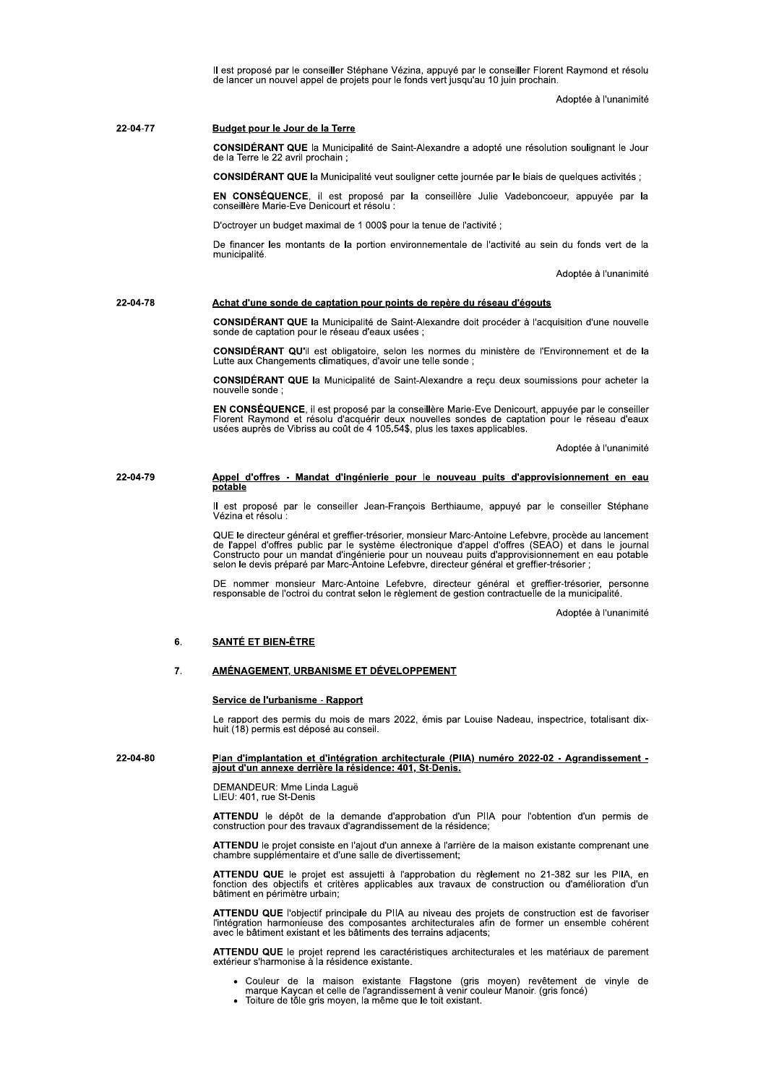ii est propose par le consellier Stephane Vezina, appuye par le consellier Florent Raymond et resolu<br>de lancer un nouvel appel de projets pour le fonds vert jusqu'au 10 juin prochain.

in.<br>Adoptée à l'unar

Il est proposé par le conseiller Stéphane Vézina, appuyé par le conseiller Florent Raymond et résolu<br>de lancer un nouvel appel de projets pour le fonds vert jusqu'au 10 juin prochain.<br>Adoptée à l'unanimité<br>**Budget pour le** ia Municipalite de Saint-Alexandre a adopte une resolution soulignant le Jour de la Terre le 22 avril prochain ; **Budget pour le Jour de la Terre<br>CONSIDÉRANT QUE la Municip<br>de la Terre le 22 avril prochain ;<br>CONSIDÉRANT QUE la Municip<br>EN CONSÉQUENCE, il est p<br>conseillère Marie-Eve Denicourt «<br>D'octroyer un budget maximal de<br>De financ** 22-04-77 Budget pour le Jour de la Terre

la Municipalite veut souligner cette journee par le biais de quelques activites ;

**EN CONSEQUENCE**, il est propose par la conselliere Julie vadeboncoeur, appuyee par la<br>conseillère Marie-Eve Denicourt et résolu :

D'octroyer un budget maximal de 1 000\$ pour la tenue de l'activité ;

De financer les montants de la portion environnementale de l'activité au sein du fonds vert de la municipalité lite.<br>Adoptée à la proposabilité de la proposabilité de la proposabilité de la proposabilité de la proposabilité de<br>Distribution de la proposabilité de la proposabilité de la proposabilité de la proposabilité de la proposa De financer les montants de<br>municipalité.<br>**Achat d'une sonde de captain de la Municipalité.**<br>**CONSIDÉRANT QUE** la Municipalité de captation pour le ré<br>**CONSIDÉRANT QU'**il est of<br>Lutte aux Changements clima<br>**CONSIDÉRANT QUE** 

a runanimite

# 22-04-78 Achat d'une sonde de captation pour points de repère du réseau d'égouts

ia Municipalité de Saint-Alexandre doit procéder à l'acquisition d'une nouvelle sonde de captation pour le reseau d'éaux usées ;

est obligatoire, selon les normes du ministere de l'Environnement et de la Lutte aux Changements climatiques, d'avoir une telle sonde ;

ia Municipalite de Saint-Alexandre a reçu deux soumissions pour acneter la nouvelle sonde ;  $\ddot{\phantom{0}}$ 

Achat d'une sonde de captation pour points de<br>
CONSIDÉRANT QUE la Municipalité de Saint-Ale<br>
sonde de captation pour le réseau d'eaux usées ;<br>
CONSIDÉRANT QU'il est obligatoire, selon les r<br>
Lutte aux Changements climatiqu **Achat d'une sonde de captation pour points de repère du r<br>
CONSIDÉRANT QUE la Municipalité de Saint-Alexandre doit<br>
sonde de captation pour le réseau d'eaux usées ;<br>
CONSIDÉRANT QU'il est obligatoire, selon les normes du<br>** EN CONSEQUENCE, il est propose par la conselliere Marie-Eve Denicourt, appuyee par le consellier<br>Florent Raymond et résolu d'acquérir deux nouvelles sondes de captation pour le réseau d'eaux<br>usées auprès de Vibriss au coût

a runanimite

# 22-04-79 Appel d'offres - Mandat d'ingénierie pour le nouveau puits d'approvisionnement en eau potable

II est propose par le consellier Jean-François Berthlaume, appuye par le consellier Stephane vezina et resolu : =

QUE le directeur general et grefiler-tresorier, monsieur Marc-Antoine Lefebvre, procede au lancement<br>Constructo pour un mandat d'ingénierie pour un nouveau puits d'approvisionnement en eau potable<br>selon le devis préparé pa

DE nommer monsieur Marc-Antoine Lefebvre, directeur general et greffier-tresorier, personne<br>responsable de l'octroi du contrat selon le règlement de gestion contractuelle de la municipalité.

ia municipalite.<br>Adoptée à l'unanimité

Constructo pour un mandat d'ingénierie pour un nouveau<br>
selon le devis préparé par Marc-Antoine Lefebvre, directe<br>
DE nommer monsieur Marc-Antoine Lefebvre, directe<br>
responsable de l'octroi du contrat selon le règlement de <u>Service de l'urbanisme - Rapport</u><br>Le rapport des permis du mois de mars 2022, émis par Louise Nadeau, inspectrice, totalisant dix-<br>huit (18) permis est déposé au conseil. nuit (18) permis est depose au c

# **22-04-80**<br> **Service de l'urbanisme - Rapport**<br>
Le rapport des permis du mois de mars 2022, émis par Louise Nadeau, inspectrice, totalisant dix-<br>
huit (18) permis est déposé au conseil.<br> **Paradissement - giout d'un annexe**

DEMANDEUR: Mme Linda Lague<br>LIELL 191 LIEU: 401, rue St-Denis

ATTENDU le depot de la demande d'approbation q'un PIIA pour l'obtention d'un permis de construction pour des travaux d'agrandissement de la residence;

ATTENDO le projet consiste en l'ajout d'un annexe à l'arrière de la maison existante comprenant une cnambre supplementaire et d'une salle de divertissement;

ATTENDU QUE le projet est assujetti a l'approbation du regiement no 21-382 sur les PIIA, en<br>fonction des objectifs et critères applicables aux travaux de construction ou d'amélioration d'un patiment en perimetre urbain;

ATTENDU QUE l'objectif principale du PIIA au niveau des projets de construction est de favoriser<br>l'intégration harmonieuse des composantes architecturales afin de former un ensemble cohérent<br>avec le bâtiment existant et le

ATTENDU QUE le projet reprend les caracteristiques architecturales et les materiaux de parement<br>extérieur s'harmonise à la résidence existante.

- Couleur de la maison existante Flagstone (gris moyen) revetement de vinyle de<br>marque Kaycan et celle de l'agrandissement à venir couleur Manoir. (gris foncé)
- folture de tole gris moyen, la meme que le toit existant.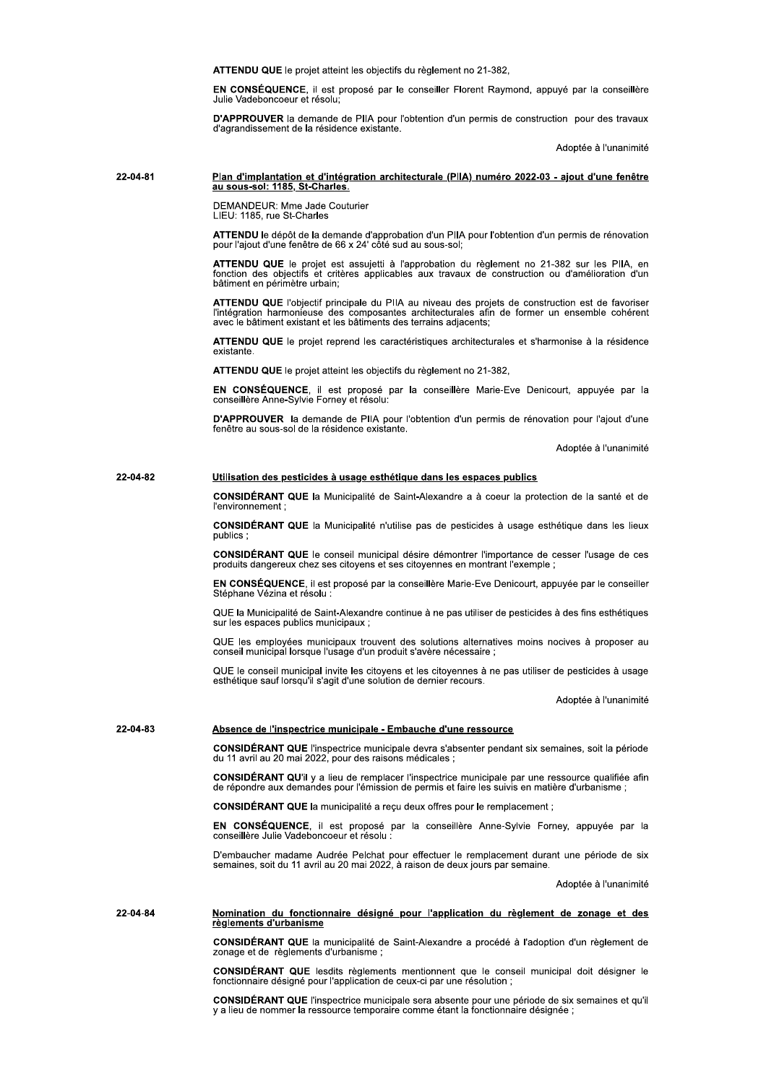ATTENDU QUE le projet atteint les objectifs du règlement no 21-382.

EN CONSÉQUENCE, il est proposé par le conseiller Florent Raymond, appuyé par la conseillère Julie Vadeboncoeur et résolut

D'APPROUVER la demande de PIIA pour l'obtention d'un permis de construction pour des travaux d'agrandissement de la résidence existante.

Adoptée à l'unanimité

# Plan d'implantation et d'intégration architecturale (PIIA) numéro 2022-03 - ajout d'une fenêtre 22-04-81 au sous-sol: 1185, St-Charles

DEMANDEUR: Mme Jade Couturier LIEU: 1185. rue St-Charles

ATTENDU le dépôt de la demande d'approbation d'un PIIA pour l'obtention d'un permis de rénovation pour l'ajout d'une fenêtre de 66 x 24' côté sud au sous-sol;

ATTENDU QUE le projet est assujetti à l'approbation du règlement no 21-382 sur les PIIA, en fonction des objectifs et critères applicables aux travaux de construction ou d'amélioration d'un bâtiment en périmètre urbain:

ATTENDU QUE l'objectif principale du PIIA au niveau des projets de construction est de favoriser l'intégration harmonieuse des composantes architecturales afin de former un ensemble cohérent avec le bâtiment existant et les bâtiments des terrains adjacents:

ATTENDU QUE le projet reprend les caractéristiques architecturales et s'harmonise à la résidence existante.

ATTENDU QUE le projet atteint les objectifs du règlement no 21-382,

EN CONSÉQUENCE, il est proposé par la conseillère Marie-Eve Denicourt, appuyée par la conseillère Anne-Sylvie Forney et résolu:

D'APPROUVER la demande de PIIA pour l'obtention d'un permis de rénovation pour l'ajout d'une fenêtre au sous-sol de la résidence existante.

Adoptée à l'unanimité

# 22-04-82 Utilisation des pesticides à usage esthétique dans les espaces publics

CONSIDÉRANT QUE la Municipalité de Saint-Alexandre a à coeur la protection de la santé et de l'environnement :

CONSIDÉRANT QUE la Municipalité n'utilise pas de pesticides à usage esthétique dans les lieux publics

CONSIDÉRANT QUE le conseil municipal désire démontrer l'importance de cesser l'usage de ces produits dangereux chez ses citoyens et ses citoyennes en montrant l'exemple ;

EN CONSÉQUENCE, il est proposé par la conseillère Marie-Eve Denicourt, appuyée par le conseiller Stéphane Vézina et résolu

QUE la Municipalité de Saint-Alexandre continue à ne pas utiliser de pesticides à des fins esthétiques sur les espaces publics municipaux :

QUE les employées municipaux trouvent des solutions alternatives moins nocives à proposer au conseil municipal lorsque l'usage d'un produit s'avère nécessaire :

QUE le conseil municipal invite les citoyens et les citoyennes à ne pas utiliser de pesticides à usage esthétique sauf lorsqu'il s'agit d'une solution de dernier recours.

Adoptée à l'unanimité

### 22-04-83 Absence de l'inspectrice municipale - Embauche d'une ressource

CONSIDÉRANT QUE l'inspectrice municipale devra s'absenter pendant six semaines, soit la période du 11 avril au 20 mai 2022, pour des raisons médicales ;

CONSIDÉRANT QU'il y a lieu de remplacer l'inspectrice municipale par une ressource qualifiée afin de répondre aux demandes pour l'émission de permis et faire les suivis en matière d'urbanisme ;

CONSIDÉRANT QUE la municipalité a reçu deux offres pour le remplacement ;

EN CONSÉQUENCE, il est proposé par la conseillère Anne-Sylvie Forney, appuyée par la conseillère Julie Vadeboncoeur et résolu :

D'embaucher madame Audrée Pelchat pour effectuer le remplacement durant une période de six semaines, soit du 11 avril au 20 mai 2022, à raison de deux jours par semaine.

Adoptée à l'unanimité

# 22-04-84 Nomination du fonctionnaire désigné pour l'application du règlement de zonage et des règlements d'urbanisme

CONSIDÉRANT QUE la municipalité de Saint-Alexandre a procédé à l'adoption d'un règlement de zonage et de règlements d'urbanisme :

CONSIDÉRANT QUE lesdits règlements mentionnent que le conseil municipal doit désigner le fonctionnaire désigné pour l'application de ceux-ci par une résolution :

CONSIDÉRANT QUE l'inspectrice municipale sera absente pour une période de six semaines et qu'il y a lieu de nommer la ressource temporaire comme étant la fonctionnaire désignée ;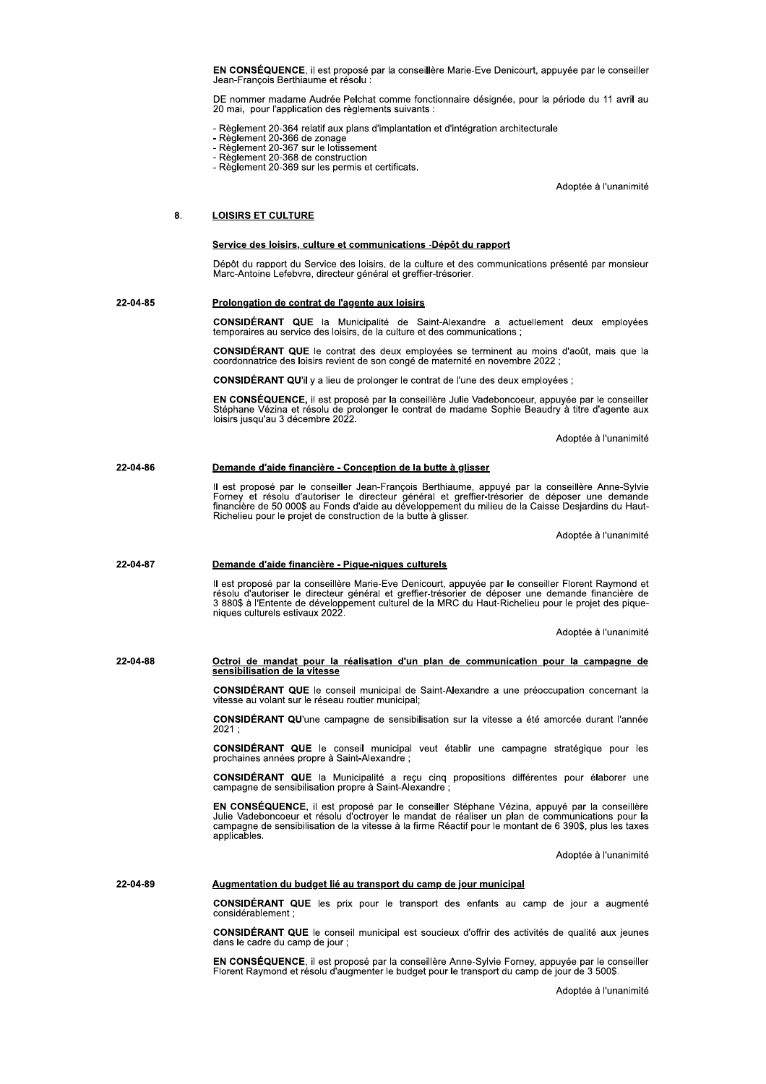EN CONSÉQUENCE, il est proposé par la conseillère Marie-Eve Denicourt, appuyée par le conseiller Jean-François Berthiaume et résolu

DE nommer madame Audrée Pelchat comme fonctionnaire désignée, pour la période du 11 avril au 20 mai, pour l'application des règlements suivants :

- Règlement 20-364 relatif aux plans d'implantation et d'intégration architecturale

- 
- 
- 
- Réglement 20-364 relatir aux plans d'implairieu<br>- Règlement 20-366 de zonage<br>- Règlement 20-367 sur le lotissement<br>- Règlement 20-368 de construction<br>- Règlement 20-369 sur les permis et certificats.

Adoptée à l'unanimité

# 8. **LOISIRS ET CULTURE**

# Service des loisirs, culture et communications -Dépôt du rapport

Dépôt du rapport du Service des loisirs, de la culture et des communications présenté par monsieur Marc-Antoine Lefebvre, directeur général et greffier-trésorier.

# 22-04-85 Prolongation de contrat de l'agente aux loisirs

CONSIDÉRANT QUE la Municipalité de Saint-Alexandre a actuellement deux employées temporaires au service des loisirs, de la culture et des communications ;

CONSIDÉRANT QUE le contrat des deux employées se terminent au moins d'août, mais que la coordonnatrice des loisirs revient de son congé de maternité en novembre 2022 ;

CONSIDÉRANT QU'il y a lieu de prolonger le contrat de l'une des deux employées :

EN CONSÉQUENCE, il est proposé par la conseillère Julie Vadeboncoeur, appuyée par le conseiller Stéphane Vézina et résolu de prolonger le contrat de madame Sophie Beaudry à titre d'agente aux<br>loisirs jusqu'au 3 décembre 2022.

Adoptée à l'unanimité

### 22-04-86 Demande d'aide financière - Conception de la butte à glisser

Il est proposé par le conseiller Jean-François Berthiaume, appuyé par la conseillère Anne-Sylvie<br>Forney et résolu d'autoriser le directeur général et greffier-trésorier de déposer une demande<br>financière de 50 000\$ au Fonds Richelieu pour le projet de construction de la butte à glisser.

Adoptée à l'unanimité

### 22-04-87 Demande d'aide financière - Pique-niques culturels

Il est proposé par la conseillère Marie-Eve Denicourt, appuyée par le conseiller Florent Raymond et<br>résolu d'autoriser le directeur général et greffier-trésorier de déposer une demande financière de<br>3 880\$ à l'Entente de d niques culturels estivaux 2022

Adoptée à l'unanimité

# 22-04-88 Octroi de mandat pour la réalisation d'un plan de communication pour la campagne de sensibilisation de la vitesse

CONSIDÉRANT QUE le conseil municipal de Saint-Alexandre a une préoccupation concernant la vitesse au volant sur le réseau routier municipal;

CONSIDÉRANT QU'une campagne de sensibilisation sur la vitesse a été amorcée durant l'année  $2021:$ 

CONSIDÉRANT QUE le conseil municipal veut établir une campagne stratégique pour les prochaines années propre à Saint-Alexandre;

**CONSIDÉRANT QUE** la Municipalité a reçu cinq propositions différentes pour élaborer une campagne de sensibilisation propre à Saint-Alexandre ;

EN CONSÉQUENCE, il est proposé par le conseiller Stéphane Vézina, appuyé par la conseillère Life Vadeboncoeur et résolu d'octroyer le mandat de réaliser un plan de communications pour la<br>campagne de sensibilisation de la vitesse à la firme Réactif pour le montant de 6 390\$, plus les taxes applicables.

Adoptée à l'unanimité

# 22-04-89 Augmentation du budget lié au transport du camp de jour municipal

CONSIDÉRANT QUE les prix pour le transport des enfants au camp de jour a augmenté considérablement :

CONSIDÉRANT QUE le conseil municipal est soucieux d'offrir des activités de qualité aux jeunes dans le cadre du camp de jour;

EN CONSÉQUENCE, il est proposé par la conseillère Anne-Sylvie Forney, appuyée par le conseiller Florent Raymond et résolu d'augmenter le budget pour le transport du camp de jour de 3 500\$.